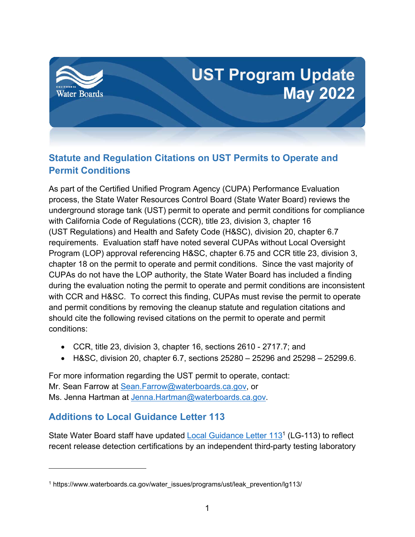

# **Statute and Regulation Citations on UST Permits to Operate and Permit Conditions**

As part of the Certified Unified Program Agency (CUPA) Performance Evaluation process, the State Water Resources Control Board (State Water Board) reviews the underground storage tank (UST) permit to operate and permit conditions for compliance with California Code of Regulations (CCR), title 23, division 3, chapter 16 (UST Regulations) and Health and Safety Code (H&SC), division 20, chapter 6.7 requirements. Evaluation staff have noted several CUPAs without Local Oversight Program (LOP) approval referencing H&SC, chapter 6.75 and CCR title 23, division 3, chapter 18 on the permit to operate and permit conditions. Since the vast majority of CUPAs do not have the LOP authority, the State Water Board has included a finding during the evaluation noting the permit to operate and permit conditions are inconsistent with CCR and H&SC. To correct this finding, CUPAs must revise the permit to operate and permit conditions by removing the cleanup statute and regulation citations and should cite the following revised citations on the permit to operate and permit conditions:

- · CCR, title 23, division 3, chapter 16, sections 2610 2717.7; and
- H&SC, division 20, chapter 6.7, sections  $25280 25296$  and  $25298 25299.6$ .

For more information regarding the UST permit to operate, contact: Mr. Sean Farrow at [Sean.Farrow@waterboards.ca.gov,](mailto:Sean.Farrow@waterboards.ca.gov) or Ms. Jenna Hartman at [Jenna.Hartman@waterboards.ca.gov](mailto:Jenna.Hartman@waterboards.ca.gov).

#### **Additions to Local Guidance Letter 113**

State Water Board staff have updated [Local Guidance Letter 113](https://www.waterboards.ca.gov/water_issues/programs/ust/leak_prevention/lg113/)<sup>[1](#page-0-0)</sup> (LG-113) to reflect recent release detection certifications by an independent third-party testing laboratory

<span id="page-0-0"></span><sup>&</sup>lt;sup>1</sup> https://www.waterboards.ca.gov/water\_issues/programs/ust/leak\_prevention/lg113/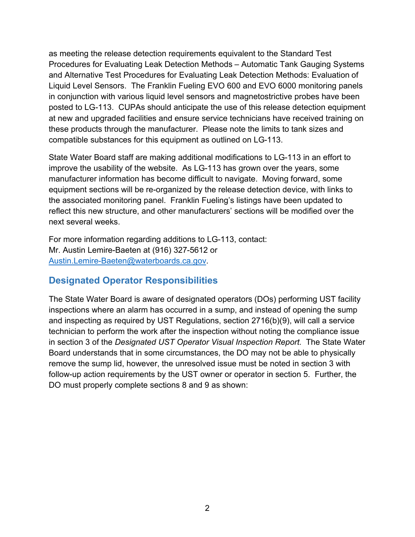as meeting the release detection requirements equivalent to the Standard Test Procedures for Evaluating Leak Detection Methods – Automatic Tank Gauging Systems and Alternative Test Procedures for Evaluating Leak Detection Methods: Evaluation of Liquid Level Sensors. The Franklin Fueling EVO 600 and EVO 6000 monitoring panels in conjunction with various liquid level sensors and magnetostrictive probes have been posted to LG-113. CUPAs should anticipate the use of this release detection equipment at new and upgraded facilities and ensure service technicians have received training on these products through the manufacturer. Please note the limits to tank sizes and compatible substances for this equipment as outlined on LG-113.

State Water Board staff are making additional modifications to LG-113 in an effort to improve the usability of the website. As LG-113 has grown over the years, some manufacturer information has become difficult to navigate. Moving forward, some equipment sections will be re-organized by the release detection device, with links to the associated monitoring panel. Franklin Fueling's listings have been updated to reflect this new structure, and other manufacturers' sections will be modified over the next several weeks.

For more information regarding additions to LG-113, contact: Mr. Austin Lemire-Baeten at (916) 327-5612 or [Austin.Lemire-Baeten@waterboards.ca.gov](mailto:Austin.Lemire-Baeten@waterboards.ca.gov).

#### **Designated Operator Responsibilities**

The State Water Board is aware of designated operators (DOs) performing UST facility inspections where an alarm has occurred in a sump, and instead of opening the sump and inspecting as required by UST Regulations, section 2716(b)(9), will call a service technician to perform the work after the inspection without noting the compliance issue in section 3 of the *Designated UST Operator Visual Inspection Report*. The State Water Board understands that in some circumstances, the DO may not be able to physically remove the sump lid, however, the unresolved issue must be noted in section 3 with follow-up action requirements by the UST owner or operator in section 5. Further, the DO must properly complete sections 8 and 9 as shown: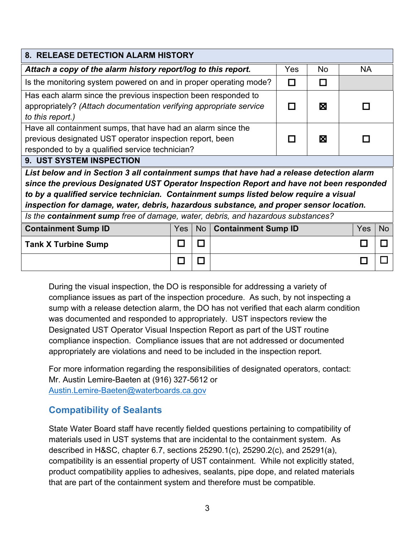| 8. RELEASE DETECTION ALARM HISTORY                                                        |               |                 |                            |   |    |            |           |
|-------------------------------------------------------------------------------------------|---------------|-----------------|----------------------------|---|----|------------|-----------|
| Attach a copy of the alarm history report/log to this report.                             |               |                 |                            |   | No | <b>NA</b>  |           |
| Is the monitoring system powered on and in proper operating mode?                         |               |                 |                            |   | П  |            |           |
| Has each alarm since the previous inspection been responded to                            |               |                 |                            |   |    |            |           |
| appropriately? (Attach documentation verifying appropriate service                        |               |                 |                            | П | ⊠  |            |           |
| to this report.)                                                                          |               |                 |                            |   |    |            |           |
| Have all containment sumps, that have had an alarm since the                              |               |                 |                            |   |    |            |           |
| previous designated UST operator inspection report, been                                  |               |                 |                            |   | ⊠  |            |           |
| responded to by a qualified service technician?                                           |               |                 |                            |   |    |            |           |
| <b>9. UST SYSTEM INSPECTION</b>                                                           |               |                 |                            |   |    |            |           |
| List below and in Section 3 all containment sumps that have had a release detection alarm |               |                 |                            |   |    |            |           |
| since the previous Designated UST Operator Inspection Report and have not been responded  |               |                 |                            |   |    |            |           |
| to by a qualified service technician. Containment sumps listed below require a visual     |               |                 |                            |   |    |            |           |
| inspection for damage, water, debris, hazardous substance, and proper sensor location.    |               |                 |                            |   |    |            |           |
| Is the containment sump free of damage, water, debris, and hazardous substances?          |               |                 |                            |   |    |            |           |
| <b>Containment Sump ID</b>                                                                | Yes           | No <sub>1</sub> | <b>Containment Sump ID</b> |   |    | <b>Yes</b> | <b>No</b> |
| <b>Tank X Turbine Sump</b>                                                                |               | П               |                            |   |    |            |           |
|                                                                                           | $\mathcal{L}$ |                 |                            |   |    |            |           |

During the visual inspection, the DO is responsible for addressing a variety of compliance issues as part of the inspection procedure. As such, by not inspecting a sump with a release detection alarm, the DO has not verified that each alarm condition was documented and responded to appropriately. UST inspectors review the Designated UST Operator Visual Inspection Report as part of the UST routine compliance inspection. Compliance issues that are not addressed or documented appropriately are violations and need to be included in the inspection report.

For more information regarding the responsibilities of designated operators, contact: Mr. Austin Lemire-Baeten at (916) 327-5612 or [Austin.Lemire-Baeten@waterboards.ca.gov](mailto:Austin.Lemire-Baeten@waterboards.ca.gov)

#### **Compatibility of Sealants**

State Water Board staff have recently fielded questions pertaining to compatibility of materials used in UST systems that are incidental to the containment system. As described in H&SC, chapter 6.7, sections 25290.1(c), 25290.2(c), and 25291(a), compatibility is an essential property of UST containment. While not explicitly stated, product compatibility applies to adhesives, sealants, pipe dope, and related materials that are part of the containment system and therefore must be compatible.